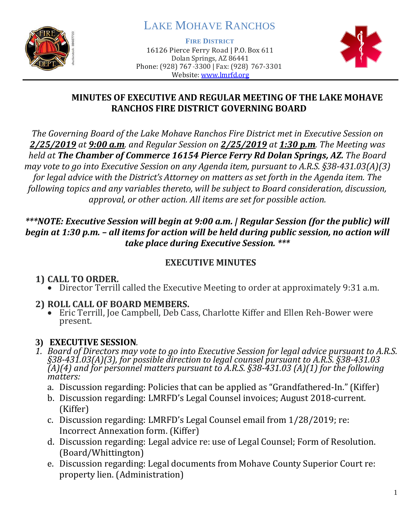

# LAKE MOHAVE RANCHOS

**FIRE DISTRICT**

16126 Pierce Ferry Road | P.O. Box 611 Dolan Springs, AZ 86441 Phone: (928) 767-3300 | Fax: (928) 767-3301 Website: [www.lmrfd.org](http://www.lmrfd.org/)



#### **MINUTES OF EXECUTIVE AND REGULAR MEETING OF THE LAKE MOHAVE RANCHOS FIRE DISTRICT GOVERNING BOARD**

*The Governing Board of the Lake Mohave Ranchos Fire District met in Executive Session on 2/25/2019 at 9:00 a.m. and Regular Session on 2/25/2019 at 1:30 p.m. The Meeting was held at The Chamber of Commerce 16154 Pierce Ferry Rd Dolan Springs, AZ. The Board may vote to go into Executive Session on any Agenda item, pursuant to A.R.S. §38-431.03(A)(3) for legal advice with the District's Attorney on matters as set forth in the Agenda item. The following topics and any variables thereto, will be subject to Board consideration, discussion, approval, or other action. All items are set for possible action.*

#### *\*\*\*NOTE: Executive Session will begin at 9:00 a.m. | Regular Session (for the public) will begin at 1:30 p.m. – all items for action will be held during public session, no action will take place during Executive Session. \*\*\**

#### **EXECUTIVE MINUTES**

## **1) CALL TO ORDER.**

• Director Terrill called the Executive Meeting to order at approximately 9:31 a.m.

## **2) ROLL CALL OF BOARD MEMBERS.**

• Eric Terrill, Joe Campbell, Deb Cass, Charlotte Kiffer and Ellen Reh-Bower were present.

## **3) EXECUTIVE SESSION***.*

- *1. Board of Directors may vote to go into Executive Session for legal advice pursuant to A.R.S. §38-431.03(A)(3), for possible direction to legal counsel pursuant to A.R.S. §38-431.03 (A)(4) and for personnel matters pursuant to A.R.S. §38-431.03 (A)(1) for the following matters:*
	- a. Discussion regarding: Policies that can be applied as "Grandfathered-In." (Kiffer)
	- b. Discussion regarding: LMRFD's Legal Counsel invoices; August 2018-current. (Kiffer)
	- c. Discussion regarding: LMRFD's Legal Counsel email from 1/28/2019; re: Incorrect Annexation form. (Kiffer)
	- d. Discussion regarding: Legal advice re: use of Legal Counsel; Form of Resolution. (Board/Whittington)
	- e. Discussion regarding: Legal documents from Mohave County Superior Court re: property lien. (Administration)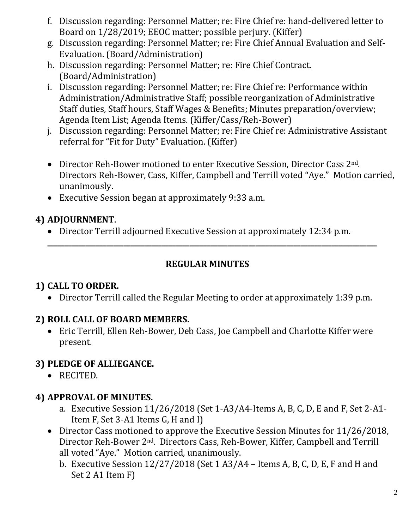- f. Discussion regarding: Personnel Matter; re: Fire Chief re: hand-delivered letter to Board on 1/28/2019; EEOC matter; possible perjury. (Kiffer)
- g. Discussion regarding: Personnel Matter; re: Fire Chief Annual Evaluation and Self-Evaluation. (Board/Administration)
- h. Discussion regarding: Personnel Matter; re: Fire Chief Contract. (Board/Administration)
- i. Discussion regarding: Personnel Matter; re: Fire Chief re: Performance within Administration/Administrative Staff; possible reorganization of Administrative Staff duties, Staff hours, Staff Wages & Benefits; Minutes preparation/overview; Agenda Item List; Agenda Items. (Kiffer/Cass/Reh-Bower)
- j. Discussion regarding: Personnel Matter; re: Fire Chief re: Administrative Assistant referral for "Fit for Duty" Evaluation. (Kiffer)
- Director Reh-Bower motioned to enter Executive Session, Director Cass 2<sup>nd</sup>. Directors Reh-Bower, Cass, Kiffer, Campbell and Terrill voted "Aye." Motion carried, unanimously.
- Executive Session began at approximately 9:33 a.m.

## **4) ADJOURNMENT**.

• Director Terrill adjourned Executive Session at approximately 12:34 p.m.

#### **REGULAR MINUTES**

**\_\_\_\_\_\_\_\_\_\_\_\_\_\_\_\_\_\_\_\_\_\_\_\_\_\_\_\_\_\_\_\_\_\_\_\_\_\_\_\_\_\_\_\_\_\_\_\_\_\_\_\_\_\_\_\_\_\_\_\_\_\_\_\_\_\_\_\_\_\_\_\_\_\_\_\_\_\_\_\_\_\_\_\_\_\_\_\_\_\_\_\_\_\_\_**

## **1) CALL TO ORDER.**

• Director Terrill called the Regular Meeting to order at approximately 1:39 p.m.

## **2) ROLL CALL OF BOARD MEMBERS.**

• Eric Terrill, Ellen Reh-Bower, Deb Cass, Joe Campbell and Charlotte Kiffer were present.

## **3) PLEDGE OF ALLIEGANCE.**

• RECITED.

## **4) APPROVAL OF MINUTES.**

- a. Executive Session 11/26/2018 (Set 1-A3/A4-Items A, B, C, D, E and F, Set 2-A1- Item F, Set 3-A1 Items G, H and I)
- Director Cass motioned to approve the Executive Session Minutes for 11/26/2018, Director Reh-Bower 2nd. Directors Cass, Reh-Bower, Kiffer, Campbell and Terrill all voted "Aye." Motion carried, unanimously.
	- b. Executive Session 12/27/2018 (Set 1 A3/A4 Items A, B, C, D, E, F and H and Set 2 A1 Item F)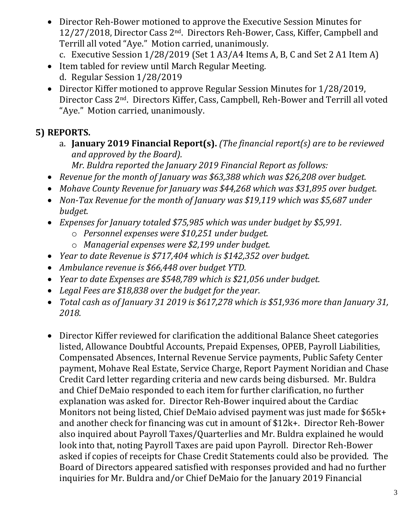- Director Reh-Bower motioned to approve the Executive Session Minutes for 12/27/2018, Director Cass 2nd. Directors Reh-Bower, Cass, Kiffer, Campbell and Terrill all voted "Aye." Motion carried, unanimously.
	- c. Executive Session 1/28/2019 (Set 1 A3/A4 Items A, B, C and Set 2 A1 Item A)
- Item tabled for review until March Regular Meeting. d. Regular Session 1/28/2019
- Director Kiffer motioned to approve Regular Session Minutes for 1/28/2019, Director Cass 2nd. Directors Kiffer, Cass, Campbell, Reh-Bower and Terrill all voted "Aye." Motion carried, unanimously.

## **5) REPORTS.**

- a. **January 2019 Financial Report(s).** *(The financial report(s) are to be reviewed and approved by the Board). Mr. Buldra reported the January 2019 Financial Report as follows:*
- *Revenue for the month of January was \$63,388 which was \$26,208 over budget.*
- *Mohave County Revenue for January was \$44,268 which was \$31,895 over budget.*
- *Non-Tax Revenue for the month of January was \$19,119 which was \$5,687 under budget.*
- *Expenses for January totaled \$75,985 which was under budget by \$5,991.*
	- o *Personnel expenses were \$10,251 under budget.*
	- o *Managerial expenses were \$2,199 under budget.*
- *Year to date Revenue is \$717,404 which is \$142,352 over budget.*
- *Ambulance revenue is \$66,448 over budget YTD.*
- *Year to date Expenses are \$548,789 which is \$21,056 under budget.*
- *Legal Fees are \$18,838 over the budget for the year.*
- *Total cash as of January 31 2019 is \$617,278 which is \$51,936 more than January 31, 2018.*
- Director Kiffer reviewed for clarification the additional Balance Sheet categories listed, Allowance Doubtful Accounts, Prepaid Expenses, OPEB, Payroll Liabilities, Compensated Absences, Internal Revenue Service payments, Public Safety Center payment, Mohave Real Estate, Service Charge, Report Payment Noridian and Chase Credit Card letter regarding criteria and new cards being disbursed. Mr. Buldra and Chief DeMaio responded to each item for further clarification, no further explanation was asked for. Director Reh-Bower inquired about the Cardiac Monitors not being listed, Chief DeMaio advised payment was just made for \$65k+ and another check for financing was cut in amount of \$12k+. Director Reh-Bower also inquired about Payroll Taxes/Quarterlies and Mr. Buldra explained he would look into that, noting Payroll Taxes are paid upon Payroll. Director Reh-Bower asked if copies of receipts for Chase Credit Statements could also be provided. The Board of Directors appeared satisfied with responses provided and had no further inquiries for Mr. Buldra and/or Chief DeMaio for the January 2019 Financial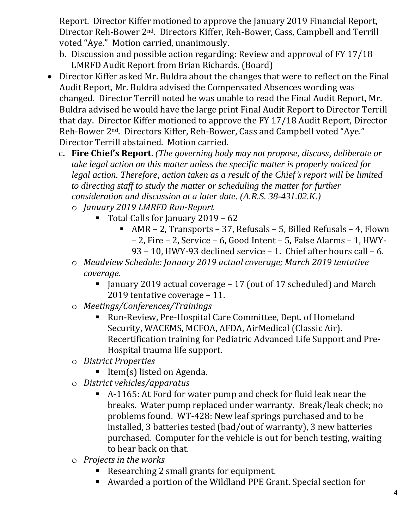Report. Director Kiffer motioned to approve the January 2019 Financial Report, Director Reh-Bower 2nd. Directors Kiffer, Reh-Bower, Cass, Campbell and Terrill voted "Aye." Motion carried, unanimously.

- b. Discussion and possible action regarding: Review and approval of FY 17/18 LMRFD Audit Report from Brian Richards. (Board)
- Director Kiffer asked Mr. Buldra about the changes that were to reflect on the Final Audit Report, Mr. Buldra advised the Compensated Absences wording was changed. Director Terrill noted he was unable to read the Final Audit Report, Mr. Buldra advised he would have the large print Final Audit Report to Director Terrill that day. Director Kiffer motioned to approve the FY 17/18 Audit Report, Director Reh-Bower 2nd. Directors Kiffer, Reh-Bower, Cass and Campbell voted "Aye." Director Terrill abstained. Motion carried.
	- c**. Fire Chief's Report.** *(The governing body may not propose, discuss, deliberate or take legal action on this matter unless the specific matter is properly noticed for legal action. Therefore, action taken as a result of the Chief's report will be limited to directing staff to study the matter or scheduling the matter for further consideration and discussion at a later date. (A.R.S. 38-431.02.K.)*
		- o *January 2019 LMRFD Run-Report* 
			- Total Calls for January 2019 62
				- $\blacksquare$  AMR 2, Transports 37, Refusals 5, Billed Refusals 4, Flown – 2, Fire – 2, Service – 6, Good Intent – 5, False Alarms – 1, HWY-93 – 10, HWY-93 declined service – 1. Chief after hours call – 6.
		- o *Meadview Schedule: January 2019 actual coverage; March 2019 tentative coverage.*
			- **E** January 2019 actual coverage  $-17$  (out of 17 scheduled) and March 2019 tentative coverage – 11.
		- o *Meetings/Conferences/Trainings*
			- Run-Review, Pre-Hospital Care Committee, Dept. of Homeland Security, WACEMS, MCFOA, AFDA, AirMedical (Classic Air). Recertification training for Pediatric Advanced Life Support and Pre-Hospital trauma life support.
		- o *District Properties*
			- **•** Item(s) listed on Agenda.
		- o *District vehicles/apparatus*
			- A-1165: At Ford for water pump and check for fluid leak near the breaks. Water pump replaced under warranty. Break/leak check; no problems found. WT-428: New leaf springs purchased and to be installed, 3 batteries tested (bad/out of warranty), 3 new batteries purchased. Computer for the vehicle is out for bench testing, waiting to hear back on that.
		- o *Projects in the works*
			- Researching 2 small grants for equipment.
			- Awarded a portion of the Wildland PPE Grant. Special section for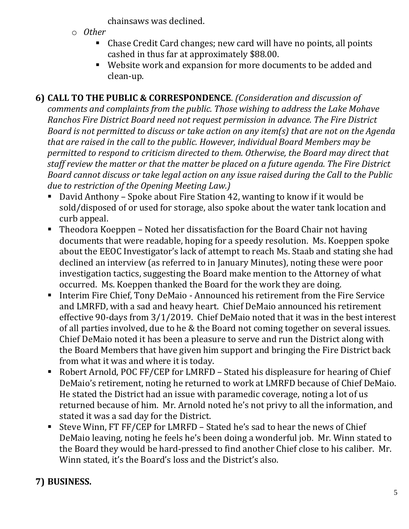chainsaws was declined.

- o *Other*
	- Chase Credit Card changes; new card will have no points, all points cashed in thus far at approximately \$88.00.
	- Website work and expansion for more documents to be added and clean-up.

**6) CALL TO THE PUBLIC & CORRESPONDENCE**. *(Consideration and discussion of comments and complaints from the public. Those wishing to address the Lake Mohave Ranchos Fire District Board need not request permission in advance. The Fire District Board is not permitted to discuss or take action on any item(s) that are not on the Agenda that are raised in the call to the public. However, individual Board Members may be permitted to respond to criticism directed to them. Otherwise, the Board may direct that staff review the matter or that the matter be placed on a future agenda. The Fire District Board cannot discuss or take legal action on any issue raised during the Call to the Public due to restriction of the Opening Meeting Law.)*

- David Anthony Spoke about Fire Station 42, wanting to know if it would be sold/disposed of or used for storage, also spoke about the water tank location and curb appeal.
- Theodora Koeppen Noted her dissatisfaction for the Board Chair not having documents that were readable, hoping for a speedy resolution. Ms. Koeppen spoke about the EEOC Investigator's lack of attempt to reach Ms. Staab and stating she had declined an interview (as referred to in January Minutes), noting these were poor investigation tactics, suggesting the Board make mention to the Attorney of what occurred. Ms. Koeppen thanked the Board for the work they are doing.
- Interim Fire Chief, Tony DeMaio Announced his retirement from the Fire Service and LMRFD, with a sad and heavy heart. Chief DeMaio announced his retirement effective 90-days from 3/1/2019. Chief DeMaio noted that it was in the best interest of all parties involved, due to he & the Board not coming together on several issues. Chief DeMaio noted it has been a pleasure to serve and run the District along with the Board Members that have given him support and bringing the Fire District back from what it was and where it is today.
- Robert Arnold, POC FF/CEP for LMRFD Stated his displeasure for hearing of Chief DeMaio's retirement, noting he returned to work at LMRFD because of Chief DeMaio. He stated the District had an issue with paramedic coverage, noting a lot of us returned because of him. Mr. Arnold noted he's not privy to all the information, and stated it was a sad day for the District.
- Steve Winn, FT FF/CEP for LMRFD Stated he's sad to hear the news of Chief DeMaio leaving, noting he feels he's been doing a wonderful job. Mr. Winn stated to the Board they would be hard-pressed to find another Chief close to his caliber. Mr. Winn stated, it's the Board's loss and the District's also.

# **7) BUSINESS.**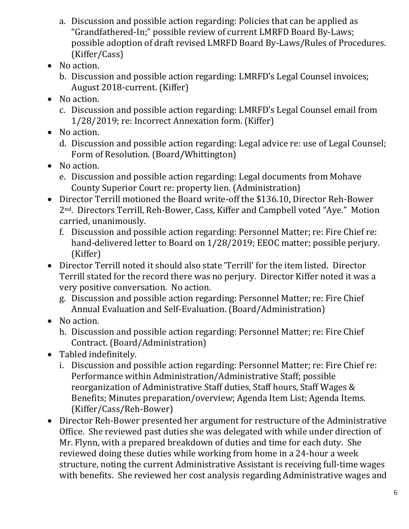- a. Discussion and possible action regarding: Policies that can be applied as "Grandfathered-In;" possible review of current LMRFD Board By-Laws; possible adoption of draft revised LMRFD Board By-Laws/Rules of Procedures. (Kiffer/Cass)
- No action.
	- b. Discussion and possible action regarding: LMRFD's Legal Counsel invoices; August 2018-current. (Kiffer)
- No action.
	- c. Discussion and possible action regarding: LMRFD's Legal Counsel email from 1/28/2019; re: Incorrect Annexation form. (Kiffer)
- No action.
	- d. Discussion and possible action regarding: Legal advice re: use of Legal Counsel; Form of Resolution. (Board/Whittington)
- No action.
	- e. Discussion and possible action regarding: Legal documents from Mohave County Superior Court re: property lien. (Administration)
- Director Terrill motioned the Board write-off the \$136.10, Director Reh-Bower 2nd. Directors Terrill, Reh-Bower, Cass, Kiffer and Campbell voted "Aye." Motion carried, unanimously.
	- f. Discussion and possible action regarding: Personnel Matter; re: Fire Chief re: hand-delivered letter to Board on 1/28/2019; EEOC matter; possible perjury. (Kiffer)
- Director Terrill noted it should also state 'Terrill' for the item listed. Director Terrill stated for the record there was no perjury. Director Kiffer noted it was a very positive conversation. No action.
	- g. Discussion and possible action regarding: Personnel Matter; re: Fire Chief Annual Evaluation and Self-Evaluation. (Board/Administration)
- No action.
	- h. Discussion and possible action regarding: Personnel Matter; re: Fire Chief Contract. (Board/Administration)
- Tabled indefinitely.
	- i. Discussion and possible action regarding: Personnel Matter; re: Fire Chief re: Performance within Administration/Administrative Staff; possible reorganization of Administrative Staff duties, Staff hours, Staff Wages & Benefits; Minutes preparation/overview; Agenda Item List; Agenda Items. (Kiffer/Cass/Reh-Bower)
- Director Reh-Bower presented her argument for restructure of the Administrative Office. She reviewed past duties she was delegated with while under direction of Mr. Flynn, with a prepared breakdown of duties and time for each duty. She reviewed doing these duties while working from home in a 24-hour a week structure, noting the current Administrative Assistant is receiving full-time wages with benefits. She reviewed her cost analysis regarding Administrative wages and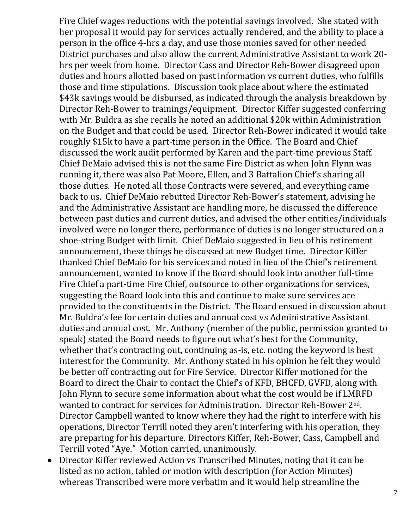Fire Chief wages reductions with the potential savings involved. She stated with her proposal it would pay for services actually rendered, and the ability to place a person in the office 4-hrs a day, and use those monies saved for other needed District purchases and also allow the current Administrative Assistant to work 20 hrs per week from home. Director Cass and Director Reh-Bower disagreed upon duties and hours allotted based on past information vs current duties, who fulfills those and time stipulations. Discussion took place about where the estimated \$43k savings would be disbursed, as indicated through the analysis breakdown by Director Reh-Bower to trainings/equipment. Director Kiffer suggested conferring with Mr. Buldra as she recalls he noted an additional \$20k within Administration on the Budget and that could be used. Director Reh-Bower indicated it would take roughly \$15k to have a part-time person in the Office. The Board and Chief discussed the work audit performed by Karen and the part-time previous Staff. Chief DeMaio advised this is not the same Fire District as when John Flynn was running it, there was also Pat Moore, Ellen, and 3 Battalion Chief's sharing all those duties. He noted all those Contracts were severed, and everything came back to us. Chief DeMaio rebutted Director Reh-Bower's statement, advising he and the Administrative Assistant are handling more, he discussed the difference between past duties and current duties, and advised the other entities/individuals involved were no longer there, performance of duties is no longer structured on a shoe-string Budget with limit. Chief DeMaio suggested in lieu of his retirement announcement, these things be discussed at new Budget time. Director Kiffer thanked Chief DeMaio for his services and noted in lieu of the Chief's retirement announcement, wanted to know if the Board should look into another full-time Fire Chief a part-time Fire Chief, outsource to other organizations for services, suggesting the Board look into this and continue to make sure services are provided to the constituents in the District. The Board ensued in discussion about Mr. Buldra's fee for certain duties and annual cost vs Administrative Assistant duties and annual cost. Mr. Anthony (member of the public, permission granted to speak) stated the Board needs to figure out what's best for the Community, whether that's contracting out, continuing as-is, etc. noting the keyword is best interest for the Community. Mr. Anthony stated in his opinion he felt they would be better off contracting out for Fire Service. Director Kiffer motioned for the Board to direct the Chair to contact the Chief's of KFD, BHCFD, GVFD, along with John Flynn to secure some information about what the cost would be if LMRFD wanted to contract for services for Administration. Director Reh-Bower 2nd. Director Campbell wanted to know where they had the right to interfere with his operations, Director Terrill noted they aren't interfering with his operation, they are preparing for his departure. Directors Kiffer, Reh-Bower, Cass, Campbell and Terrill voted "Aye." Motion carried, unanimously.

• Director Kiffer reviewed Action vs Transcribed Minutes, noting that it can be listed as no action, tabled or motion with description (for Action Minutes) whereas Transcribed were more verbatim and it would help streamline the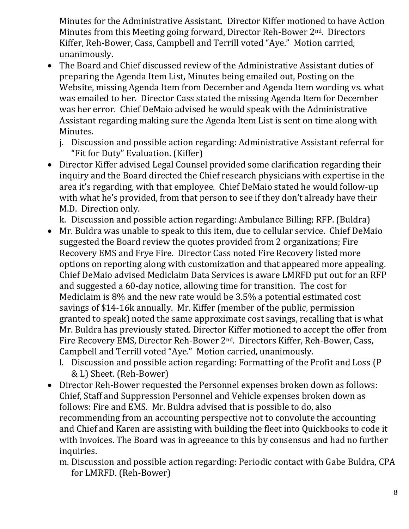Minutes for the Administrative Assistant. Director Kiffer motioned to have Action Minutes from this Meeting going forward, Director Reh-Bower 2<sup>nd</sup>. Directors Kiffer, Reh-Bower, Cass, Campbell and Terrill voted "Aye." Motion carried, unanimously.

- The Board and Chief discussed review of the Administrative Assistant duties of preparing the Agenda Item List, Minutes being emailed out, Posting on the Website, missing Agenda Item from December and Agenda Item wording vs. what was emailed to her. Director Cass stated the missing Agenda Item for December was her error. Chief DeMaio advised he would speak with the Administrative Assistant regarding making sure the Agenda Item List is sent on time along with Minutes.
	- j. Discussion and possible action regarding: Administrative Assistant referral for "Fit for Duty" Evaluation. (Kiffer)
- Director Kiffer advised Legal Counsel provided some clarification regarding their inquiry and the Board directed the Chief research physicians with expertise in the area it's regarding, with that employee. Chief DeMaio stated he would follow-up with what he's provided, from that person to see if they don't already have their M.D. Direction only.

k. Discussion and possible action regarding: Ambulance Billing; RFP. (Buldra)

- Mr. Buldra was unable to speak to this item, due to cellular service. Chief DeMaio suggested the Board review the quotes provided from 2 organizations; Fire Recovery EMS and Frye Fire. Director Cass noted Fire Recovery listed more options on reporting along with customization and that appeared more appealing. Chief DeMaio advised Mediclaim Data Services is aware LMRFD put out for an RFP and suggested a 60-day notice, allowing time for transition. The cost for Mediclaim is 8% and the new rate would be 3.5% a potential estimated cost savings of \$14-16k annually. Mr. Kiffer (member of the public, permission granted to speak) noted the same approximate cost savings, recalling that is what Mr. Buldra has previously stated. Director Kiffer motioned to accept the offer from Fire Recovery EMS, Director Reh-Bower 2nd. Directors Kiffer, Reh-Bower, Cass, Campbell and Terrill voted "Aye." Motion carried, unanimously.
	- l. Discussion and possible action regarding: Formatting of the Profit and Loss (P & L) Sheet. (Reh-Bower)
- Director Reh-Bower requested the Personnel expenses broken down as follows: Chief, Staff and Suppression Personnel and Vehicle expenses broken down as follows: Fire and EMS. Mr. Buldra advised that is possible to do, also recommending from an accounting perspective not to convolute the accounting and Chief and Karen are assisting with building the fleet into Quickbooks to code it with invoices. The Board was in agreeance to this by consensus and had no further inquiries.
	- m. Discussion and possible action regarding: Periodic contact with Gabe Buldra, CPA for LMRFD. (Reh-Bower)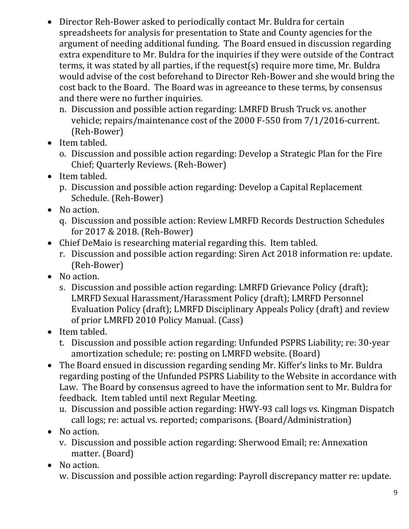- Director Reh-Bower asked to periodically contact Mr. Buldra for certain spreadsheets for analysis for presentation to State and County agencies for the argument of needing additional funding. The Board ensued in discussion regarding extra expenditure to Mr. Buldra for the inquiries if they were outside of the Contract terms, it was stated by all parties, if the request(s) require more time, Mr. Buldra would advise of the cost beforehand to Director Reh-Bower and she would bring the cost back to the Board. The Board was in agreeance to these terms, by consensus and there were no further inquiries.
	- n. Discussion and possible action regarding: LMRFD Brush Truck vs. another vehicle; repairs/maintenance cost of the 2000 F-550 from 7/1/2016-current. (Reh-Bower)
- Item tabled.
	- o. Discussion and possible action regarding: Develop a Strategic Plan for the Fire Chief; Quarterly Reviews. (Reh-Bower)
- Item tabled.
	- p. Discussion and possible action regarding: Develop a Capital Replacement Schedule. (Reh-Bower)
- No action.
	- q. Discussion and possible action: Review LMRFD Records Destruction Schedules for 2017 & 2018. (Reh-Bower)
- Chief DeMaio is researching material regarding this. Item tabled.
	- r. Discussion and possible action regarding: Siren Act 2018 information re: update. (Reh-Bower)
- No action.
	- s. Discussion and possible action regarding: LMRFD Grievance Policy (draft); LMRFD Sexual Harassment/Harassment Policy (draft); LMRFD Personnel Evaluation Policy (draft); LMRFD Disciplinary Appeals Policy (draft) and review of prior LMRFD 2010 Policy Manual. (Cass)
- Item tabled.
	- t. Discussion and possible action regarding: Unfunded PSPRS Liability; re: 30-year amortization schedule; re: posting on LMRFD website. (Board)
- The Board ensued in discussion regarding sending Mr. Kiffer's links to Mr. Buldra regarding posting of the Unfunded PSPRS Liability to the Website in accordance with Law. The Board by consensus agreed to have the information sent to Mr. Buldra for feedback. Item tabled until next Regular Meeting.
	- u. Discussion and possible action regarding: HWY-93 call logs vs. Kingman Dispatch call logs; re: actual vs. reported; comparisons. (Board/Administration)
- No action.
	- v. Discussion and possible action regarding: Sherwood Email; re: Annexation matter. (Board)
- No action.
	- w. Discussion and possible action regarding: Payroll discrepancy matter re: update.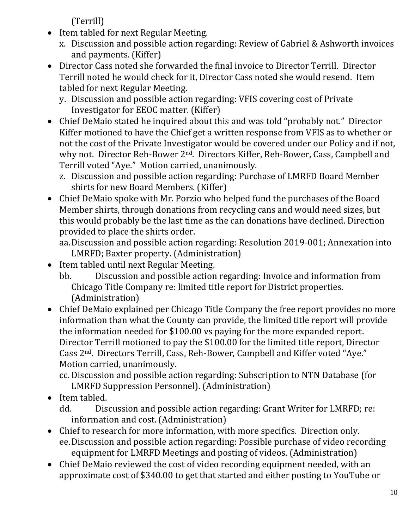(Terrill)

- Item tabled for next Regular Meeting.
	- x. Discussion and possible action regarding: Review of Gabriel & Ashworth invoices and payments. (Kiffer)
- Director Cass noted she forwarded the final invoice to Director Terrill. Director Terrill noted he would check for it, Director Cass noted she would resend. Item tabled for next Regular Meeting.

y. Discussion and possible action regarding: VFIS covering cost of Private Investigator for EEOC matter. (Kiffer)

- Chief DeMaio stated he inquired about this and was told "probably not." Director Kiffer motioned to have the Chief get a written response from VFIS as to whether or not the cost of the Private Investigator would be covered under our Policy and if not, why not. Director Reh-Bower 2<sup>nd</sup>. Directors Kiffer, Reh-Bower, Cass, Campbell and Terrill voted "Aye." Motion carried, unanimously.
	- z. Discussion and possible action regarding: Purchase of LMRFD Board Member shirts for new Board Members. (Kiffer)
- Chief DeMaio spoke with Mr. Porzio who helped fund the purchases of the Board Member shirts, through donations from recycling cans and would need sizes, but this would probably be the last time as the can donations have declined. Direction provided to place the shirts order.

aa.Discussion and possible action regarding: Resolution 2019-001; Annexation into LMRFD; Baxter property. (Administration)

- Item tabled until next Regular Meeting.
	- bb. Discussion and possible action regarding: Invoice and information from Chicago Title Company re: limited title report for District properties. (Administration)
- Chief DeMaio explained per Chicago Title Company the free report provides no more information than what the County can provide, the limited title report will provide the information needed for \$100.00 vs paying for the more expanded report. Director Terrill motioned to pay the \$100.00 for the limited title report, Director Cass 2nd. Directors Terrill, Cass, Reh-Bower, Campbell and Kiffer voted "Aye." Motion carried, unanimously.

cc. Discussion and possible action regarding: Subscription to NTN Database (for LMRFD Suppression Personnel). (Administration)

• Item tabled.

dd. Discussion and possible action regarding: Grant Writer for LMRFD; re: information and cost. (Administration)

- Chief to research for more information, with more specifics. Direction only. ee.Discussion and possible action regarding: Possible purchase of video recording equipment for LMRFD Meetings and posting of videos. (Administration)
- Chief DeMaio reviewed the cost of video recording equipment needed, with an approximate cost of \$340.00 to get that started and either posting to YouTube or